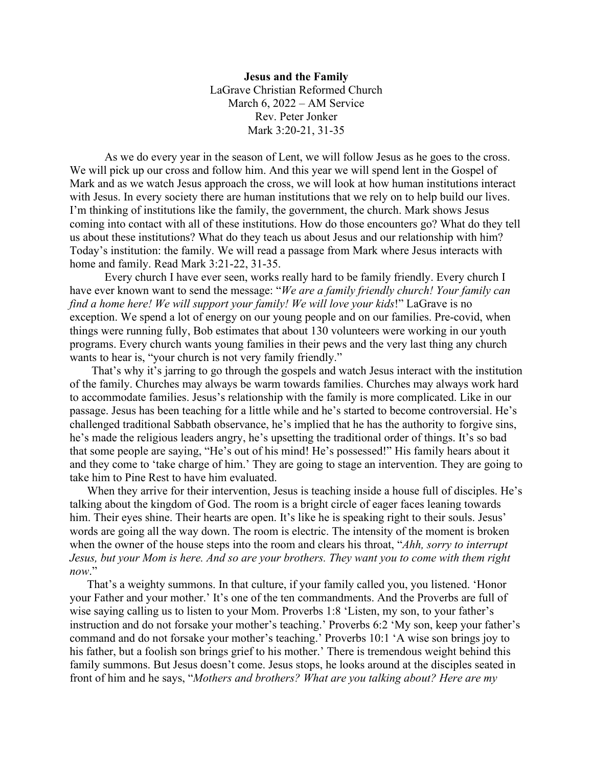**Jesus and the Family** LaGrave Christian Reformed Church March 6, 2022 – AM Service Rev. Peter Jonker Mark 3:20-21, 31-35

As we do every year in the season of Lent, we will follow Jesus as he goes to the cross. We will pick up our cross and follow him. And this year we will spend lent in the Gospel of Mark and as we watch Jesus approach the cross, we will look at how human institutions interact with Jesus. In every society there are human institutions that we rely on to help build our lives. I'm thinking of institutions like the family, the government, the church. Mark shows Jesus coming into contact with all of these institutions. How do those encounters go? What do they tell us about these institutions? What do they teach us about Jesus and our relationship with him? Today's institution: the family. We will read a passage from Mark where Jesus interacts with home and family. Read Mark 3:21-22, 31-35.

Every church I have ever seen, works really hard to be family friendly. Every church I have ever known want to send the message: "*We are a family friendly church! Your family can find a home here! We will support your family! We will love your kids*!" LaGrave is no exception. We spend a lot of energy on our young people and on our families. Pre-covid, when things were running fully, Bob estimates that about 130 volunteers were working in our youth programs. Every church wants young families in their pews and the very last thing any church wants to hear is, "your church is not very family friendly."

That's why it's jarring to go through the gospels and watch Jesus interact with the institution of the family. Churches may always be warm towards families. Churches may always work hard to accommodate families. Jesus's relationship with the family is more complicated. Like in our passage. Jesus has been teaching for a little while and he's started to become controversial. He's challenged traditional Sabbath observance, he's implied that he has the authority to forgive sins, he's made the religious leaders angry, he's upsetting the traditional order of things. It's so bad that some people are saying, "He's out of his mind! He's possessed!" His family hears about it and they come to 'take charge of him.' They are going to stage an intervention. They are going to take him to Pine Rest to have him evaluated.

When they arrive for their intervention, Jesus is teaching inside a house full of disciples. He's talking about the kingdom of God. The room is a bright circle of eager faces leaning towards him. Their eyes shine. Their hearts are open. It's like he is speaking right to their souls. Jesus' words are going all the way down. The room is electric. The intensity of the moment is broken when the owner of the house steps into the room and clears his throat, "*Ahh, sorry to interrupt Jesus, but your Mom is here. And so are your brothers. They want you to come with them right now*."

That's a weighty summons. In that culture, if your family called you, you listened. 'Honor your Father and your mother.' It's one of the ten commandments. And the Proverbs are full of wise saying calling us to listen to your Mom. Proverbs 1:8 'Listen, my son, to your father's instruction and do not forsake your mother's teaching.' Proverbs 6:2 'My son, keep your father's command and do not forsake your mother's teaching.' Proverbs 10:1 'A wise son brings joy to his father, but a foolish son brings grief to his mother.' There is tremendous weight behind this family summons. But Jesus doesn't come. Jesus stops, he looks around at the disciples seated in front of him and he says, "*Mothers and brothers? What are you talking about? Here are my*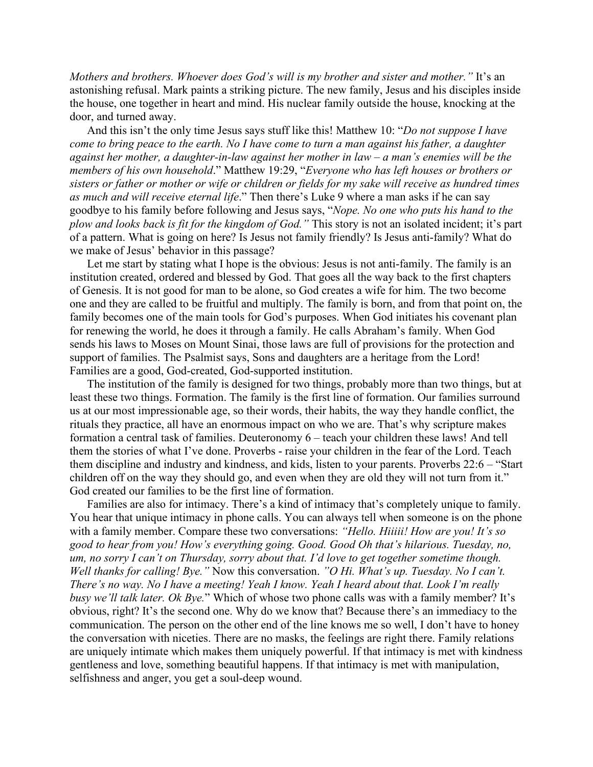*Mothers and brothers. Whoever does God's will is my brother and sister and mother."* It's an astonishing refusal. Mark paints a striking picture. The new family, Jesus and his disciples inside the house, one together in heart and mind. His nuclear family outside the house, knocking at the door, and turned away.

And this isn't the only time Jesus says stuff like this! Matthew 10: "*Do not suppose I have come to bring peace to the earth. No I have come to turn a man against his father, a daughter against her mother, a daughter-in-law against her mother in law – a man's enemies will be the members of his own household*." Matthew 19:29, "*Everyone who has left houses or brothers or sisters or father or mother or wife or children or fields for my sake will receive as hundred times as much and will receive eternal life*." Then there's Luke 9 where a man asks if he can say goodbye to his family before following and Jesus says, "*Nope. No one who puts his hand to the plow and looks back is fit for the kingdom of God."* This story is not an isolated incident; it's part of a pattern. What is going on here? Is Jesus not family friendly? Is Jesus anti-family? What do we make of Jesus' behavior in this passage?

Let me start by stating what I hope is the obvious: Jesus is not anti-family. The family is an institution created, ordered and blessed by God. That goes all the way back to the first chapters of Genesis. It is not good for man to be alone, so God creates a wife for him. The two become one and they are called to be fruitful and multiply. The family is born, and from that point on, the family becomes one of the main tools for God's purposes. When God initiates his covenant plan for renewing the world, he does it through a family. He calls Abraham's family. When God sends his laws to Moses on Mount Sinai, those laws are full of provisions for the protection and support of families. The Psalmist says, Sons and daughters are a heritage from the Lord! Families are a good, God-created, God-supported institution.

The institution of the family is designed for two things, probably more than two things, but at least these two things. Formation. The family is the first line of formation. Our families surround us at our most impressionable age, so their words, their habits, the way they handle conflict, the rituals they practice, all have an enormous impact on who we are. That's why scripture makes formation a central task of families. Deuteronomy 6 – teach your children these laws! And tell them the stories of what I've done. Proverbs - raise your children in the fear of the Lord. Teach them discipline and industry and kindness, and kids, listen to your parents. Proverbs 22:6 – "Start children off on the way they should go, and even when they are old they will not turn from it." God created our families to be the first line of formation.

Families are also for intimacy. There's a kind of intimacy that's completely unique to family. You hear that unique intimacy in phone calls. You can always tell when someone is on the phone with a family member. Compare these two conversations: *"Hello. Hiiiii! How are you! It's so good to hear from you! How's everything going. Good. Good Oh that's hilarious. Tuesday, no, um, no sorry I can't on Thursday, sorry about that. I'd love to get together sometime though. Well thanks for calling! Bye."* Now this conversation. *"O Hi. What's up. Tuesday. No I can't. There's no way. No I have a meeting! Yeah I know. Yeah I heard about that. Look I'm really busy we'll talk later. Ok Bye.*" Which of whose two phone calls was with a family member? It's obvious, right? It's the second one. Why do we know that? Because there's an immediacy to the communication. The person on the other end of the line knows me so well, I don't have to honey the conversation with niceties. There are no masks, the feelings are right there. Family relations are uniquely intimate which makes them uniquely powerful. If that intimacy is met with kindness gentleness and love, something beautiful happens. If that intimacy is met with manipulation, selfishness and anger, you get a soul-deep wound.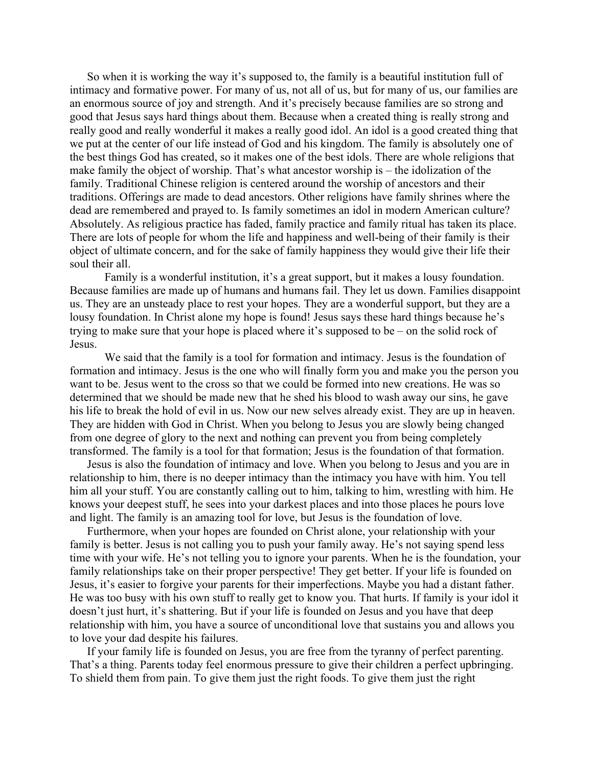So when it is working the way it's supposed to, the family is a beautiful institution full of intimacy and formative power. For many of us, not all of us, but for many of us, our families are an enormous source of joy and strength. And it's precisely because families are so strong and good that Jesus says hard things about them. Because when a created thing is really strong and really good and really wonderful it makes a really good idol. An idol is a good created thing that we put at the center of our life instead of God and his kingdom. The family is absolutely one of the best things God has created, so it makes one of the best idols. There are whole religions that make family the object of worship. That's what ancestor worship is – the idolization of the family. Traditional Chinese religion is centered around the worship of ancestors and their traditions. Offerings are made to dead ancestors. Other religions have family shrines where the dead are remembered and prayed to. Is family sometimes an idol in modern American culture? Absolutely. As religious practice has faded, family practice and family ritual has taken its place. There are lots of people for whom the life and happiness and well-being of their family is their object of ultimate concern, and for the sake of family happiness they would give their life their soul their all.

Family is a wonderful institution, it's a great support, but it makes a lousy foundation. Because families are made up of humans and humans fail. They let us down. Families disappoint us. They are an unsteady place to rest your hopes. They are a wonderful support, but they are a lousy foundation. In Christ alone my hope is found! Jesus says these hard things because he's trying to make sure that your hope is placed where it's supposed to be – on the solid rock of Jesus.

We said that the family is a tool for formation and intimacy. Jesus is the foundation of formation and intimacy. Jesus is the one who will finally form you and make you the person you want to be. Jesus went to the cross so that we could be formed into new creations. He was so determined that we should be made new that he shed his blood to wash away our sins, he gave his life to break the hold of evil in us. Now our new selves already exist. They are up in heaven. They are hidden with God in Christ. When you belong to Jesus you are slowly being changed from one degree of glory to the next and nothing can prevent you from being completely transformed. The family is a tool for that formation; Jesus is the foundation of that formation.

Jesus is also the foundation of intimacy and love. When you belong to Jesus and you are in relationship to him, there is no deeper intimacy than the intimacy you have with him. You tell him all your stuff. You are constantly calling out to him, talking to him, wrestling with him. He knows your deepest stuff, he sees into your darkest places and into those places he pours love and light. The family is an amazing tool for love, but Jesus is the foundation of love.

Furthermore, when your hopes are founded on Christ alone, your relationship with your family is better. Jesus is not calling you to push your family away. He's not saying spend less time with your wife. He's not telling you to ignore your parents. When he is the foundation, your family relationships take on their proper perspective! They get better. If your life is founded on Jesus, it's easier to forgive your parents for their imperfections. Maybe you had a distant father. He was too busy with his own stuff to really get to know you. That hurts. If family is your idol it doesn't just hurt, it's shattering. But if your life is founded on Jesus and you have that deep relationship with him, you have a source of unconditional love that sustains you and allows you to love your dad despite his failures.

If your family life is founded on Jesus, you are free from the tyranny of perfect parenting. That's a thing. Parents today feel enormous pressure to give their children a perfect upbringing. To shield them from pain. To give them just the right foods. To give them just the right